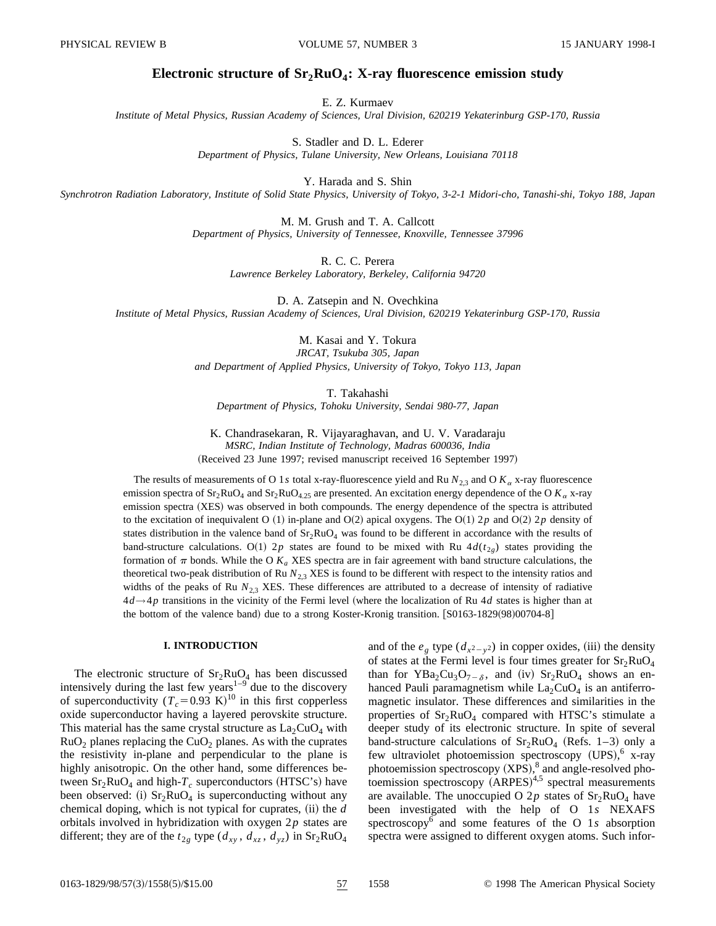# Electronic structure of  $Sr<sub>2</sub>RuO<sub>4</sub>$ : X-ray fluorescence emission study

E. Z. Kurmaev

*Institute of Metal Physics, Russian Academy of Sciences, Ural Division, 620219 Yekaterinburg GSP-170, Russia*

S. Stadler and D. L. Ederer *Department of Physics, Tulane University, New Orleans, Louisiana 70118*

Y. Harada and S. Shin

*Synchrotron Radiation Laboratory, Institute of Solid State Physics, University of Tokyo, 3-2-1 Midori-cho, Tanashi-shi, Tokyo 188, Japan*

M. M. Grush and T. A. Callcott *Department of Physics, University of Tennessee, Knoxville, Tennessee 37996*

> R. C. C. Perera *Lawrence Berkeley Laboratory, Berkeley, California 94720*

D. A. Zatsepin and N. Ovechkina *Institute of Metal Physics, Russian Academy of Sciences, Ural Division, 620219 Yekaterinburg GSP-170, Russia*

> M. Kasai and Y. Tokura *JRCAT, Tsukuba 305, Japan and Department of Applied Physics, University of Tokyo, Tokyo 113, Japan*

> > T. Takahashi

*Department of Physics, Tohoku University, Sendai 980-77, Japan*

K. Chandrasekaran, R. Vijayaraghavan, and U. V. Varadaraju *MSRC, Indian Institute of Technology, Madras 600036, India* (Received 23 June 1997; revised manuscript received 16 September 1997)

The results of measurements of O 1*s* total x-ray-fluorescence yield and Ru  $N_{2,3}$  and O  $K_{\alpha}$  x-ray fluorescence emission spectra of  $Sr_2RuO_4$  and  $Sr_2RuO_{4,25}$  are presented. An excitation energy dependence of the O  $K_\alpha$  x-ray emission spectra (XES) was observed in both compounds. The energy dependence of the spectra is attributed to the excitation of inequivalent O  $(1)$  in-plane and O $(2)$  apical oxygens. The O $(1)$  2*p* and O $(2)$  2*p* density of states distribution in the valence band of  $Sr_2RuO_4$  was found to be different in accordance with the results of band-structure calculations. O(1) 2*p* states are found to be mixed with Ru  $4d(t_{2g})$  states providing the formation of  $\pi$  bonds. While the O  $K_a$  XES spectra are in fair agreement with band structure calculations, the theoretical two-peak distribution of Ru  $N_{2,3}$  XES is found to be different with respect to the intensity ratios and widths of the peaks of Ru  $N_{2,3}$  XES. These differences are attributed to a decrease of intensity of radiative 4*d→*4*p* transitions in the vicinity of the Fermi level ~where the localization of Ru 4*d* states is higher than at the bottom of the valence band) due to a strong Koster-Kronig transition.  $\left[ 80163-1829(98)00704-8 \right]$ 

# **I. INTRODUCTION**

The electronic structure of  $Sr_2RuO<sub>4</sub>$  has been discussed intensively during the last few years<sup> $1-9$ </sup> due to the discovery of superconductivity  $(T_c = 0.93 \text{ K})^{10}$  in this first copperless oxide superconductor having a layered perovskite structure. This material has the same crystal structure as  $La<sub>2</sub>CuO<sub>4</sub>$  with  $RuO<sub>2</sub>$  planes replacing the CuO<sub>2</sub> planes. As with the cuprates the resistivity in-plane and perpendicular to the plane is highly anisotropic. On the other hand, some differences between  $Sr<sub>2</sub>RuO<sub>4</sub>$  and high- $T<sub>c</sub>$  superconductors (HTSC's) have been observed: (i)  $Sr<sub>2</sub>RuO<sub>4</sub>$  is superconducting without any chemical doping, which is not typical for cuprates, (ii) the *d* orbitals involved in hybridization with oxygen 2*p* states are different; they are of the  $t_{2g}$  type ( $d_{xy}$ ,  $d_{xz}$ ,  $d_{yz}$ ) in Sr<sub>2</sub>RuO<sub>4</sub> and of the  $e_g$  type  $(d_{x^2-y^2})$  in copper oxides, (iii) the density of states at the Fermi level is four times greater for  $Sr<sub>2</sub>RuO<sub>4</sub>$ than for  $YBa_2Cu_3O_{7-\delta}$ , and (iv)  $Sr_2RuO_4$  shows an enhanced Pauli paramagnetism while  $La_2CuO_4$  is an antiferromagnetic insulator. These differences and similarities in the properties of  $Sr<sub>2</sub>RuO<sub>4</sub>$  compared with HTSC's stimulate a deeper study of its electronic structure. In spite of several band-structure calculations of  $Sr_2RuO<sub>4</sub>$  (Refs. 1–3) only a few ultraviolet photoemission spectroscopy (UPS),<sup>6</sup> x-ray photoemission spectroscopy  $(XPS)$ ,<sup>8</sup> and angle-resolved pho $to$ emission spectroscopy  $(ARPES)^{4,5}$  spectral measurements are available. The unoccupied O 2p states of  $Sr<sub>2</sub>RuO<sub>4</sub>$  have been investigated with the help of O 1*s* NEXAFS spectroscopy<sup>6</sup> and some features of the O 1*s* absorption spectra were assigned to different oxygen atoms. Such infor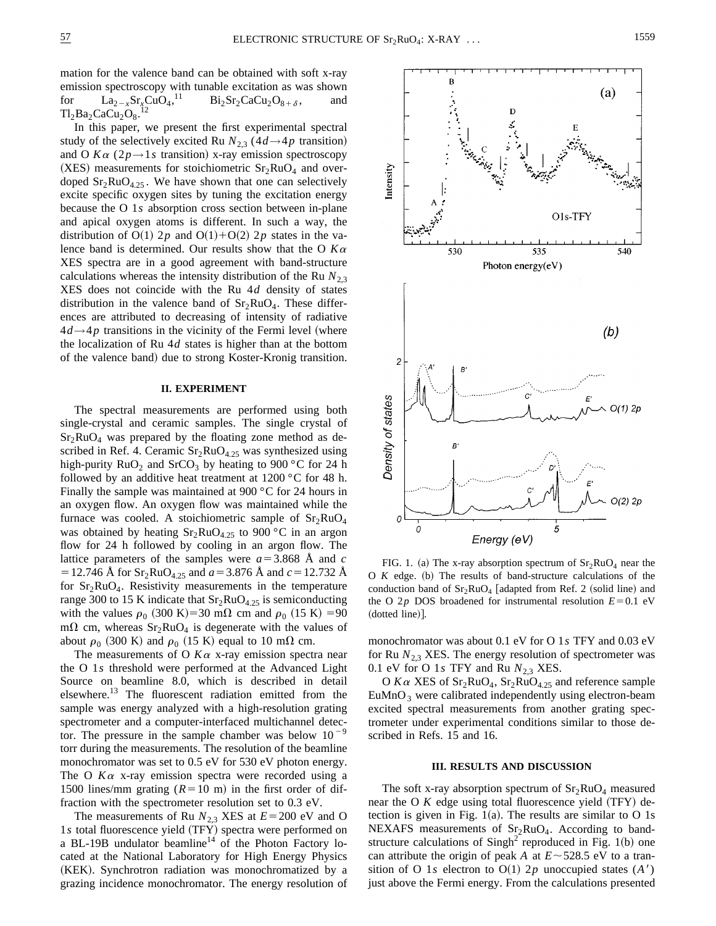mation for the valence band can be obtained with soft x-ray emission spectroscopy with tunable excitation as was shown for  $\text{La}_{2-x}\text{Sr}_x\text{CuO}_4$ ,<sup>11</sup>  $Bi_2Sr_2CaCu_2O_{8+\delta}$ , and  $Tl_2Ba_2CaCu_2O_8$ .<sup>12</sup>

In this paper, we present the first experimental spectral study of the selectively excited Ru  $N_{2,3}$  (4 $d \rightarrow 4p$  transition) and O  $K\alpha$  (2*p* $\rightarrow$ 1*s* transition) x-ray emission spectroscopy (XES) measurements for stoichiometric  $Sr<sub>2</sub>RuO<sub>4</sub>$  and overdoped  $Sr<sub>2</sub>RuO<sub>4.25</sub>$ . We have shown that one can selectively excite specific oxygen sites by tuning the excitation energy because the O 1*s* absorption cross section between in-plane and apical oxygen atoms is different. In such a way, the distribution of O(1) 2*p* and O(1)+O(2) 2*p* states in the valence band is determined. Our results show that the O *K*<sup>a</sup> XES spectra are in a good agreement with band-structure calculations whereas the intensity distribution of the Ru  $N_{2,3}$ XES does not coincide with the Ru 4*d* density of states distribution in the valence band of  $Sr<sub>2</sub>RuO<sub>4</sub>$ . These differences are attributed to decreasing of intensity of radiative  $4d \rightarrow 4p$  transitions in the vicinity of the Fermi level (where the localization of Ru 4*d* states is higher than at the bottom of the valence band) due to strong Koster-Kronig transition.

### **II. EXPERIMENT**

The spectral measurements are performed using both single-crystal and ceramic samples. The single crystal of  $Sr<sub>2</sub>RuO<sub>4</sub>$  was prepared by the floating zone method as described in Ref. 4. Ceramic  $Sr<sub>2</sub>RuO<sub>4.25</sub>$  was synthesized using high-purity  $RuO<sub>2</sub>$  and SrCO<sub>3</sub> by heating to 900 °C for 24 h followed by an additive heat treatment at 1200 °C for 48 h. Finally the sample was maintained at 900 °C for 24 hours in an oxygen flow. An oxygen flow was maintained while the furnace was cooled. A stoichiometric sample of  $Sr<sub>2</sub>RuO<sub>4</sub>$ was obtained by heating  $Sr_2RuO_{4.25}$  to 900 °C in an argon flow for 24 h followed by cooling in an argon flow. The lattice parameters of the samples were  $a=3.868$  Å and  $c$  $=$  12.746 Å for Sr<sub>2</sub>RuO<sub>4.25</sub> and  $a$  = 3.876 Å and  $c$  = 12.732 Å for  $Sr<sub>2</sub>RuO<sub>4</sub>$ . Resistivity measurements in the temperature range 300 to 15 K indicate that  $Sr<sub>2</sub>RuO<sub>4.25</sub>$  is semiconducting with the values  $\rho_0$  (300 K)=30 m $\Omega$  cm and  $\rho_0$  (15 K) =90 m $\Omega$  cm, whereas  $Sr_2RuO_4$  is degenerate with the values of about  $\rho_0$  (300 K) and  $\rho_0$  (15 K) equal to 10 m $\Omega$  cm.

The measurements of O  $K\alpha$  x-ray emission spectra near the O 1*s* threshold were performed at the Advanced Light Source on beamline 8.0, which is described in detail elsewhere.13 The fluorescent radiation emitted from the sample was energy analyzed with a high-resolution grating spectrometer and a computer-interfaced multichannel detector. The pressure in the sample chamber was below  $10^{-9}$ torr during the measurements. The resolution of the beamline monochromator was set to 0.5 eV for 530 eV photon energy. The O  $K\alpha$  x-ray emission spectra were recorded using a 1500 lines/mm grating  $(R=10 \text{ m})$  in the first order of diffraction with the spectrometer resolution set to 0.3 eV.

The measurements of Ru  $N_{2,3}$  XES at  $E=200$  eV and O 1*s* total fluorescence yield (TFY) spectra were performed on a BL-19B undulator beamline<sup>14</sup> of the Photon Factory located at the National Laboratory for High Energy Physics (KEK). Synchrotron radiation was monochromatized by a grazing incidence monochromator. The energy resolution of



FIG. 1. (a) The x-ray absorption spectrum of  $Sr<sub>2</sub>RuO<sub>4</sub>$  near the  $O$   $K$  edge. (b) The results of band-structure calculations of the conduction band of  $Sr<sub>2</sub>RuO<sub>4</sub>$  [adapted from Ref. 2 (solid line) and the O 2*p* DOS broadened for instrumental resolution  $E=0.1$  eV  $(doted line)$ ].

monochromator was about 0.1 eV for O 1*s* TFY and 0.03 eV for Ru  $N_{2,3}$  XES. The energy resolution of spectrometer was 0.1 eV for O 1s TFY and Ru  $N_{2,3}$  XES.

O  $K\alpha$  XES of Sr<sub>2</sub>RuO<sub>4</sub>, Sr<sub>2</sub>RuO<sub>4.25</sub> and reference sample  $EuMnO<sub>3</sub>$  were calibrated independently using electron-beam excited spectral measurements from another grating spectrometer under experimental conditions similar to those described in Refs. 15 and 16.

#### **III. RESULTS AND DISCUSSION**

The soft x-ray absorption spectrum of  $Sr<sub>2</sub>RuO<sub>4</sub>$  measured near the O  $K$  edge using total fluorescence yield  $(TFY)$  detection is given in Fig. 1(a). The results are similar to O 1s NEXAFS measurements of  $Sr<sub>2</sub>RuO<sub>4</sub>$ . According to bandstructure calculations of  $Singh<sup>2</sup>$  reproduced in Fig. 1(b) one can attribute the origin of peak *A* at  $E \sim 528.5$  eV to a transition of O 1*s* electron to O(1) 2*p* unoccupied states  $(A')$ just above the Fermi energy. From the calculations presented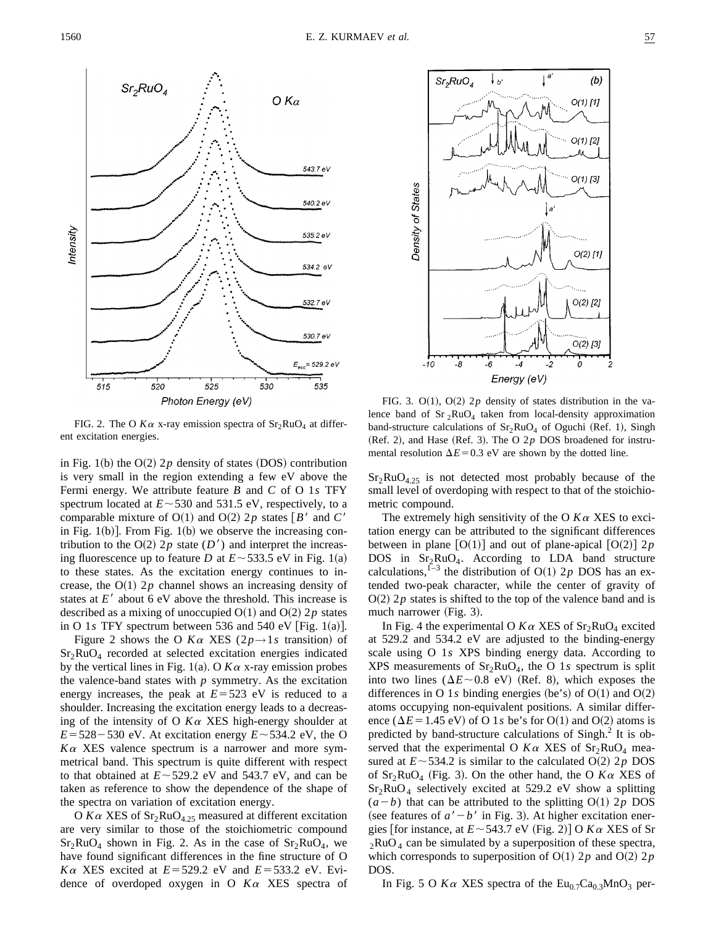

FIG. 2. The O  $K\alpha$  x-ray emission spectra of  $Sr<sub>2</sub>RuO<sub>4</sub>$  at different excitation energies.

in Fig. 1(b) the  $O(2)$  2*p* density of states (DOS) contribution is very small in the region extending a few eV above the Fermi energy. We attribute feature *B* and *C* of O 1*s* TFY spectrum located at  $E \sim 530$  and 531.5 eV, respectively, to a comparable mixture of  $O(1)$  and  $O(2)$  2*p* states  $\lceil B^{\prime} \rceil$  and *C*<sup> $\prime$ </sup> in Fig. 1(b)]. From Fig. 1(b) we observe the increasing contribution to the  $O(2)$  2*p* state (*D'*) and interpret the increasing fluorescence up to feature *D* at  $E \sim 533.5$  eV in Fig. 1(a) to these states. As the excitation energy continues to increase, the  $O(1)$  2*p* channel shows an increasing density of states at  $E'$  about 6 eV above the threshold. This increase is described as a mixing of unoccupied  $O(1)$  and  $O(2)$  2*p* states in O 1 $s$  TFY spectrum between 536 and 540 eV [Fig. 1(a)].

Figure 2 shows the O  $K\alpha$  XES ( $2p \rightarrow 1s$  transition) of  $Sr<sub>2</sub>RuO<sub>4</sub>$  recorded at selected excitation energies indicated by the vertical lines in Fig. 1(a). O  $K\alpha$  x-ray emission probes the valence-band states with  $p$  symmetry. As the excitation energy increases, the peak at  $E = 523$  eV is reduced to a shoulder. Increasing the excitation energy leads to a decreasing of the intensity of O  $K\alpha$  XES high-energy shoulder at  $E = 528 - 530$  eV. At excitation energy  $E \sim 534.2$  eV, the O  $K\alpha$  XES valence spectrum is a narrower and more symmetrical band. This spectrum is quite different with respect to that obtained at  $E \sim 529.2$  eV and 543.7 eV, and can be taken as reference to show the dependence of the shape of the spectra on variation of excitation energy.

O  $K\alpha$  XES of  $Sr_2RuO_{4.25}$  measured at different excitation are very similar to those of the stoichiometric compound  $Sr<sub>2</sub>RuO<sub>4</sub>$  shown in Fig. 2. As in the case of  $Sr<sub>2</sub>RuO<sub>4</sub>$ , we have found significant differences in the fine structure of O *K* $\alpha$  XES excited at  $E = 529.2$  eV and  $E = 533.2$  eV. Evidence of overdoped oxygen in O *K*<sup>a</sup> XES spectra of



FIG. 3.  $O(1)$ ,  $O(2)$  2*p* density of states distribution in the valence band of  $Sr_2RuO_4$  taken from local-density approximation band-structure calculations of  $Sr<sub>2</sub>RuO<sub>4</sub>$  of Oguchi (Ref. 1), Singh  $(Ref. 2)$ , and Hase  $(Ref. 3)$ . The O 2p DOS broadened for instrumental resolution  $\Delta E$ =0.3 eV are shown by the dotted line.

 $Sr<sub>2</sub>RuO<sub>4.25</sub>$  is not detected most probably because of the small level of overdoping with respect to that of the stoichiometric compound.

The extremely high sensitivity of the O  $K\alpha$  XES to excitation energy can be attributed to the significant differences between in plane  $[O(1)]$  and out of plane-apical  $[O(2)]$  2*p* DOS in  $Sr<sub>2</sub>RuO<sub>4</sub>$ . According to LDA band structure calculations,<sup>1–3</sup> the distribution of O(1) 2*p* DOS has an extended two-peak character, while the center of gravity of  $O(2)$  2*p* states is shifted to the top of the valence band and is much narrower  $(Fig. 3)$ .

In Fig. 4 the experimental O  $K\alpha$  XES of  $Sr_2RuO_4$  excited at 529.2 and 534.2 eV are adjusted to the binding-energy scale using O 1*s* XPS binding energy data. According to XPS measurements of  $Sr<sub>2</sub>RuO<sub>4</sub>$ , the O 1s spectrum is split into two lines  $(\Delta E \sim 0.8 \text{ eV})$  (Ref. 8), which exposes the differences in O 1s binding energies (be's) of  $O(1)$  and  $O(2)$ atoms occupying non-equivalent positions. A similar difference ( $\Delta E$ =1.45 eV) of O 1*s* be's for O(1) and O(2) atoms is predicted by band-structure calculations of Singh.<sup>2</sup> It is observed that the experimental O  $K\alpha$  XES of  $Sr<sub>2</sub>RuO<sub>4</sub>$  measured at  $E \sim 534.2$  is similar to the calculated O(2) 2*p* DOS of  $Sr_2RuO_4$  (Fig. 3). On the other hand, the O  $K\alpha$  XES of  $Sr<sub>2</sub>RuO<sub>4</sub>$  selectively excited at 529.2 eV show a splitting  $(a - b)$  that can be attributed to the splitting O(1) 2*p* DOS (see features of  $a' - b'$  in Fig. 3). At higher excitation energies [for instance, at  $E \sim 543.7$  eV (Fig. 2)] O  $K\alpha$  XES of Sr  $2RuO<sub>4</sub>$  can be simulated by a superposition of these spectra, which corresponds to superposition of  $O(1)$  2*p* and  $O(2)$  2*p* DOS.

In Fig. 5 O  $K\alpha$  XES spectra of the Eu<sub>0.7</sub>Ca<sub>0.3</sub>MnO<sub>3</sub> per-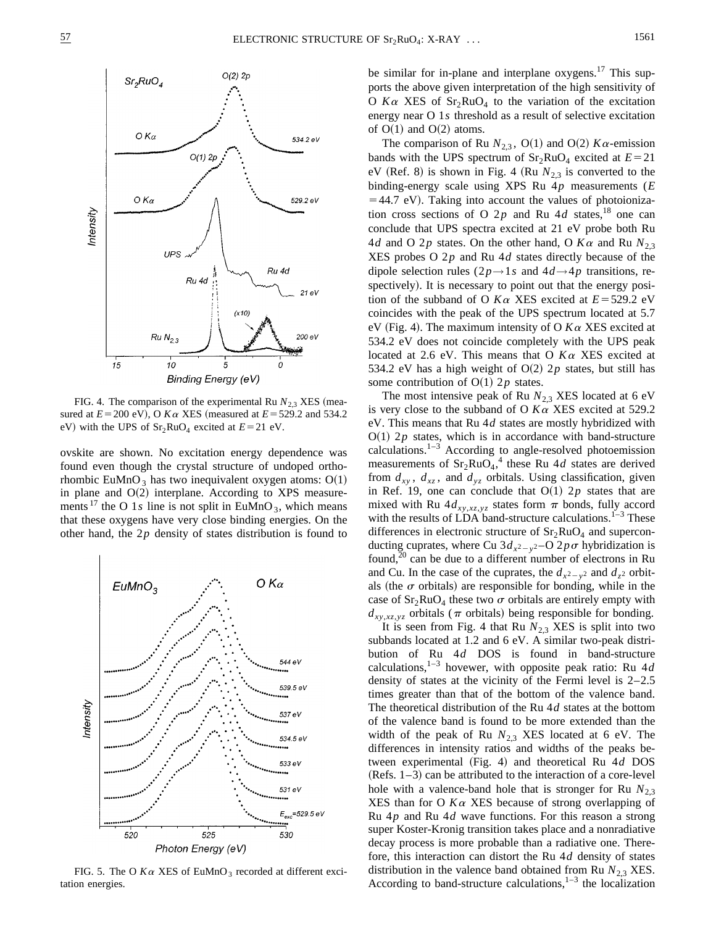

FIG. 4. The comparison of the experimental Ru  $N_{2,3}$  XES (measured at  $E = 200$  eV), O  $K\alpha$  XES (measured at  $E = 529.2$  and 534.2 eV) with the UPS of  $Sr_2RuO_4$  excited at  $E=21$  eV.

ovskite are shown. No excitation energy dependence was found even though the crystal structure of undoped orthorhombic EuMnO<sub>3</sub> has two inequivalent oxygen atoms:  $O(1)$ in plane and  $O(2)$  interplane. According to XPS measurements<sup>17</sup> the O 1*s* line is not split in EuMnO<sub>3</sub>, which means that these oxygens have very close binding energies. On the other hand, the 2*p* density of states distribution is found to



FIG. 5. The O  $K\alpha$  XES of EuMnO<sub>3</sub> recorded at different excitation energies.

be similar for in-plane and interplane  $oxygens.<sup>17</sup>$  This supports the above given interpretation of the high sensitivity of O  $K\alpha$  XES of  $Sr_2RuO_4$  to the variation of the excitation energy near O 1*s* threshold as a result of selective excitation of  $O(1)$  and  $O(2)$  atoms.

The comparison of Ru  $N_{2,3}$ , O(1) and O(2)  $K\alpha$ -emission bands with the UPS spectrum of  $Sr<sub>2</sub>RuO<sub>4</sub>$  excited at  $E=21$ eV (Ref. 8) is shown in Fig. 4 (Ru  $N_{2,3}$  is converted to the binding-energy scale using XPS Ru 4*p* measurements (*E*  $=44.7$  eV). Taking into account the values of photoionization cross sections of O  $2p$  and Ru  $4d$  states,<sup>18</sup> one can conclude that UPS spectra excited at 21 eV probe both Ru 4*d* and O 2*p* states. On the other hand, O  $K\alpha$  and Ru  $N_{2,3}$ XES probes O 2*p* and Ru 4*d* states directly because of the dipole selection rules  $(2p \rightarrow 1s$  and  $4d \rightarrow 4p$  transitions, respectively). It is necessary to point out that the energy position of the subband of O  $K\alpha$  XES excited at  $E = 529.2$  eV coincides with the peak of the UPS spectrum located at 5.7 eV (Fig. 4). The maximum intensity of O  $K\alpha$  XES excited at 534.2 eV does not coincide completely with the UPS peak located at 2.6 eV. This means that O *K*<sup>a</sup> XES excited at 534.2 eV has a high weight of  $O(2)$  2*p* states, but still has some contribution of  $O(1)$  2*p* states.

The most intensive peak of Ru  $N_{2,3}$  XES located at 6 eV is very close to the subband of O  $K\alpha$  XES excited at 529.2 eV. This means that Ru 4*d* states are mostly hybridized with  $O(1)$  2*p* states, which is in accordance with band-structure calculations. $1-3$  According to angle-resolved photoemission measurements of  $Sr_2RuO<sub>4</sub>$ ,<sup>4</sup> these Ru 4*d* states are derived from  $d_{xy}$ ,  $d_{xz}$ , and  $d_{yz}$  orbitals. Using classification, given in Ref. 19, one can conclude that  $O(1)$  2*p* states that are mixed with Ru  $4d_{xy,xz,yz}$  states form  $\pi$  bonds, fully accord with the results of LDA band-structure calculations.<sup>1–3</sup> These differences in electronic structure of  $Sr<sub>2</sub>RuO<sub>4</sub>$  and superconducting cuprates, where Cu  $3d_{x^2-y^2}$ –O  $2p\sigma$  hybridization is found,<sup>20</sup> can be due to a different number of electrons in Ru and Cu. In the case of the cuprates, the  $d_{x^2-y^2}$  and  $d_{z^2}$  orbitals (the  $\sigma$  orbitals) are responsible for bonding, while in the case of  $Sr_2RuO_4$  these two  $\sigma$  orbitals are entirely empty with  $d_{xy, xz, yz}$  orbitals ( $\pi$  orbitals) being responsible for bonding.

It is seen from Fig. 4 that Ru  $N_{2,3}$  XES is split into two subbands located at 1.2 and 6 eV. A similar two-peak distribution of Ru 4*d* DOS is found in band-structure calculations,1–3 hovewer, with opposite peak ratio: Ru 4*d* density of states at the vicinity of the Fermi level is 2–2.5 times greater than that of the bottom of the valence band. The theoretical distribution of the Ru 4*d* states at the bottom of the valence band is found to be more extended than the width of the peak of Ru  $N_{2,3}$  XES located at 6 eV. The differences in intensity ratios and widths of the peaks between experimental (Fig. 4) and theoretical Ru 4*d* DOS  $(Refs. 1–3)$  can be attributed to the interaction of a core-level hole with a valence-band hole that is stronger for Ru  $N_{2,3}$ XES than for O  $K\alpha$  XES because of strong overlapping of Ru 4*p* and Ru 4*d* wave functions. For this reason a strong super Koster-Kronig transition takes place and a nonradiative decay process is more probable than a radiative one. Therefore, this interaction can distort the Ru 4*d* density of states distribution in the valence band obtained from Ru  $N_{2,3}$  XES. According to band-structure calculations, $1-3$  the localization